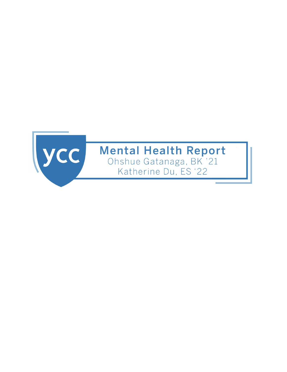

# **Mental Health Report**

Ohshue Gatanaga, BK '21 Katherine Du, ES '22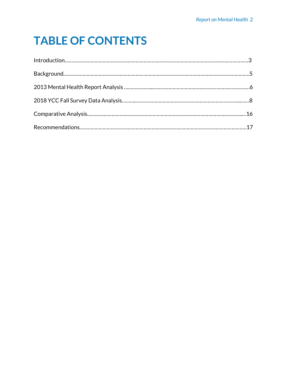# **TABLE OF CONTENTS**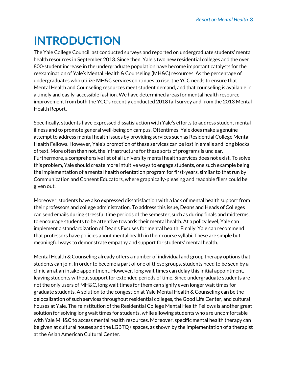# **INTRODUCTION**

The Yale College Council last conducted surveys and reported on undergraduate students' mental health resources in September 2013. Since then, Yale's two new residential colleges and the over 800-student increase in the undergraduate population have become important catalysts for the reexamination of Yale's Mental Health & Counseling (MH&C) resources. As the percentage of undergraduates who utilize MH&C services continues to rise, the YCC needs to ensure that Mental Health and Counseling resources meet student demand, and that counseling is available in a timely and easily-accessible fashion. We have determined areas for mental health resource improvement from both the YCC's recently conducted 2018 fall survey and from the 2013 Mental Health Report.

Specifically, students have expressed dissatisfaction with Yale's efforts to address student mental illness and to promote general well-being on campus. Oftentimes, Yale does make a genuine attempt to address mental health issues by providing services such as Residential College Mental Health Fellows. However, Yale's promotion of these services can be lost in emails and long blocks of text. More often than not, the infrastructure for these sorts of programs is unclear. Furthermore, a comprehensive list of all university mental health services does not exist. To solve this problem, Yale should create more intuitive ways to engage students, one such example being the implementation of a mental health orientation program for first-years, similar to that run by Communication and Consent Educators, where graphically-pleasing and readable fliers could be given out.

Moreover, students have also expressed dissatisfaction with a lack of mental health support from their professors and college administration. To address this issue, Deans and Heads of Colleges can send emails during stressful time periods of the semester, such as during finals and midterms, to encourage students to be attentive towards their mental health. At a policy level, Yale can implement a standardization of Dean's Excuses for mental health. Finally, Yale can recommend that professors have policies about mental health in their course syllabi. These are simple but meaningful ways to demonstrate empathy and support for students' mental health.

Mental Health & Counseling already offers a number of individual and group therapy options that students can join. In order to become a part of one of these groups, students need to be seen by a clinician at an intake appointment. However, long wait times can delay this initial appointment, leaving students without support for extended periods of time. Since undergraduate students are not the only users of MH&C, long wait times for them can signify even longer wait times for graduate students. A solution to the congestion at Yale Mental Health & Counseling can be the delocalization of such services throughout residential colleges, the Good Life Center, and cultural houses at Yale. The reinstitution of the Residential College Mental Health Fellows is another great solution for solving long wait times for students, while allowing students who are uncomfortable with Yale MH&C to access mental health resources. Moreover, specific mental health therapy can be given at cultural houses and the LGBTQ+ spaces, as shown by the implementation of a therapist at the Asian American Cultural Center.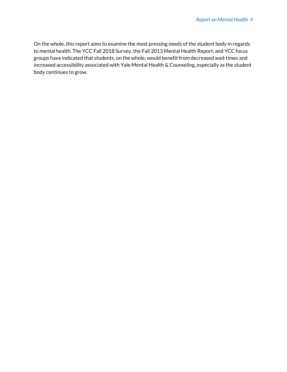On the whole, this report aims to examine the most pressing needs of the student body in regards to mental health. The YCC Fall 2018 Survey, the Fall 2013 Mental Health Report, and YCC focus groups have indicated that students, on the whole, would benefit from decreased wait times and increased accessibility associated with Yale Mental Health & Counseling, especially as the student body continues to grow.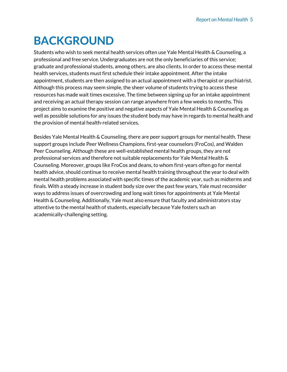# **BACKGROUND**

Students who wish to seek mental health services often use Yale Mental Health & Counseling, a professional and free service. Undergraduates are not the only beneficiaries of this service; graduate and professional students, among others, are also clients. In order to access these mental health services, students must first schedule their intake appointment. After the intake appointment, students are then assigned to an actual appointment with a therapist or psychiatrist. Although this process may seem simple, the sheer volume of students trying to access these resources has made wait times excessive. The time between signing up for an intake appointment and receiving an actual therapy session can range anywhere from a few weeks to months. This project aims to examine the positive and negative aspects of Yale Mental Health & Counseling as well as possible solutions for any issues the student body may have in regards to mental health and the provision of mental health-related services.

Besides Yale Mental Health & Counseling, there are peer support groups for mental health. These support groups include Peer Wellness Champions, first-year counselors (FroCos), and Walden Peer Counseling. Although these are well-established mental health groups, they are not professional services and therefore not suitable replacements for Yale Mental Health & Counseling. Moreover, groups like FroCos and deans, to whom first-years often go for mental health advice, should continue to receive mental health training throughout the year to deal with mental health problems associated with specific times of the academic year, such as midterms and finals. With a steady increase in student body size over the past few years, Yale must reconsider ways to address issues of overcrowding and long wait times for appointments at Yale Mental Health & Counseling. Additionally, Yale must also ensure that faculty and administrators stay attentive to the mental health of students, especially because Yale fosters such an academically-challenging setting.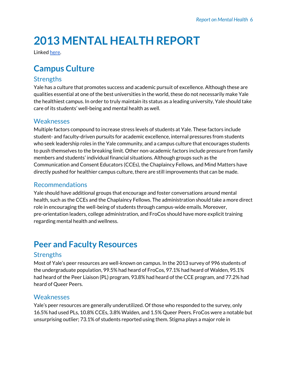# **2013 MENTAL HEALTH REPORT**

Linked here.

# **Campus Culture**

## **Strengths**

Yale has a culture that promotes success and academic pursuit of excellence. Although these are qualities essential at one of the best universities in the world, these do not necessarily make Yale the healthiest campus. In order to truly maintain its status as a leading university, Yale should take care of its students' well-being and mental health as well.

## Weaknesses

Multiple factors compound to increase stress levels of students at Yale. These factors include student- and faculty-driven pursuits for academic excellence, internal pressures from students who seek leadership roles in the Yale community, and a campus culture that encourages students to push themselves to the breaking limit. Other non-academic factors include pressure from family members and students' individual financial situations. Although groups such as the Communication and Consent Educators (CCEs), the Chaplaincy Fellows, and Mind Matters have directly pushed for healthier campus culture, there are still improvements that can be made.

### **Recommendations**

Yale should have additional groups that encourage and foster conversations around mental health, such as the CCEs and the Chaplaincy Fellows. The administration should take a more direct role in encouraging the well-being of students through campus-wide emails. Moreover, pre-orientation leaders, college administration, and FroCos should have more explicit training regarding mental health and wellness.

# **Peer and Faculty Resources**

## **Strengths**

Most of Yale's peer resources are well-known on campus. In the 2013 survey of 996 students of the undergraduate population, 99.5% had heard of FroCos, 97.1% had heard of Walden, 95.1% had heard of the Peer Liaison (PL) program, 93.8% had heard of the CCE program, and 77.2% had heard of Queer Peers.

### Weaknesses

Yale's peer resources are generally underutilized. Of those who responded to the survey, only 16.5% had used PLs, 10.8% CCEs, 3.8% Walden, and 1.5% Queer Peers. FroCos were a notable but unsurprising outlier; 73.1% of students reported using them. Stigma plays a major role in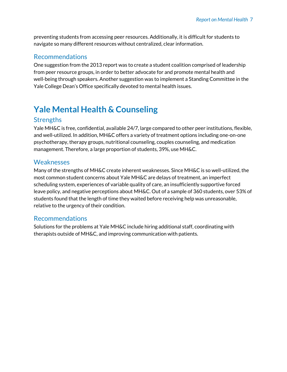preventing students from accessing peer resources. Additionally, it is difficult for students to navigate so many different resources without centralized, clear information.

### **Recommendations**

One suggestion from the 2013 report was to create a student coalition comprised of leadership from peer resource groups, in order to better advocate for and promote mental health and well-being through speakers. Another suggestion was to implement a Standing Committee in the Yale College Dean's Office specifically devoted to mental health issues.

# **Yale Mental Health & Counseling**

### **Strengths**

Yale MH&C is free, confidential, available 24/7, large compared to other peer institutions, flexible, and well-utilized. In addition, MH&C offers a variety of treatment options including one-on-one psychotherapy, therapy groups, nutritional counseling, couples counseling, and medication management. Therefore, a large proportion of students, 39%, use MH&C.

### Weaknesses

Many of the strengths of MH&C create inherent weaknesses. Since MH&C is so well-utilized, the most common student concerns about Yale MH&C are delays of treatment, an imperfect scheduling system, experiences of variable quality of care, an insufficiently supportive forced leave policy, and negative perceptions about MH&C. Out of a sample of 360 students, over 53% of students found that the length of time they waited before receiving help was unreasonable, relative to the urgency of their condition.

### **Recommendations**

Solutions for the problems at Yale MH&C include hiring additional staff, coordinating with therapists outside of MH&C, and improving communication with patients.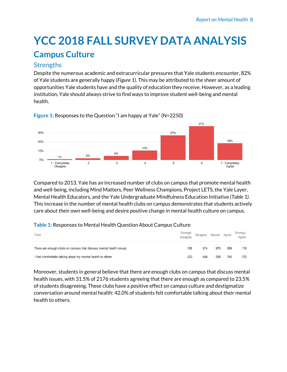# **YCC 2018 FALL SURVEY DATA ANALYSIS Campus Culture**

## **Strengths**

Despite the numerous academic and extracurricular pressures that Yale students encounter, 82% of Yale students are generally happy (Figure 1). This may be attributed to the sheer amount of opportunities Yale students have and the quality of education they receive. However, as a leading institution, Yale should always strive to find ways to improve student well-being and mental health.



Figure 1: Responses to the Question "I am happy at Yale" (N=2250)

Compared to 2013, Yale has an increased number of clubs on campus that promote mental health and well-being, including Mind Matters, Peer Wellness Champions, Project LETS, the Yale Layer, Mental Health Educators, and the Yale Undergraduate Mindfulness Education Initiative (Table 1). This increase in the number of mental health clubs on campus demonstrates that students actively care about their own well-being and desire positive change in mental health culture on campus.

#### Table 1: Responses to Mental Health Question About Campus Culture

| Field                                                               | Strongly<br><b>Disagree</b> | Disagree | Neutral Agree |     | Strongly<br>Agree |
|---------------------------------------------------------------------|-----------------------------|----------|---------------|-----|-------------------|
| There are enough clubs on campus that discuss mental health issues. | 138                         | 374      | 979           | 569 | 116               |
| I feel comfortable talking about my mental health to others.        | 223                         | 484      | 558           | 743 | 172               |

Moreover, students in general believe that there are enough clubs on campus that discuss mental health issues, with 31.5% of 2176 students agreeing that there are enough as compared to 23.5% of students disagreeing. These clubs have a positive effect on campus culture and destigmatize conversation around mental health: 42.0% of students felt comfortable talking about their mental health to others.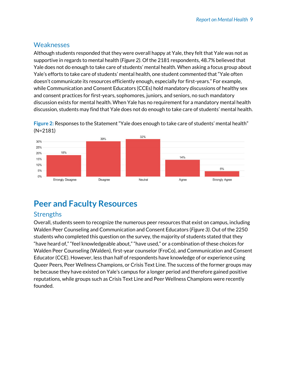## Weaknesses

Although students responded that they were overall happy at Yale, they felt that Yale was not as supportive in regards to mental health (Figure 2). Of the 2181 respondents, 48.7% believed that Yale does not do enough to take care of students' mental health. When asking a focus group about Yale's efforts to take care of students' mental health, one student commented that "Yale often doesn't communicate its resources efficiently enough, especially for first-years." For example, while Communication and Consent Educators (CCEs) hold mandatory discussions of healthy sex and consent practices for first-years, sophomores, juniors, and seniors, no such mandatory discussion exists for mental health. When Yale has no requirement for a mandatory mental health discussion, students may find that Yale does not do enough to take care of students' mental health.





# **Peer and Faculty Resources**

## **Strengths**

Overall, students seem to recognize the numerous peer resources that exist on campus, including Walden Peer Counseling and Communication and Consent Educators (Figure 3). Out of the 2250 students who completed this question on the survey, the majority of students stated that they "have heard of," "feel knowledgeable about," "have used," or a combination of these choices for Walden Peer Counseling (Walden), first-year counselor (FroCo), and Communication and Consent Educator (CCE). However, less than half of respondents have knowledge of or experience using Queer Peers, Peer Wellness Champions, or Crisis Text Line. The success of the former groups may be because they have existed on Yale's campus for a longer period and therefore gained positive reputations, while groups such as Crisis Text Line and Peer Wellness Champions were recently founded.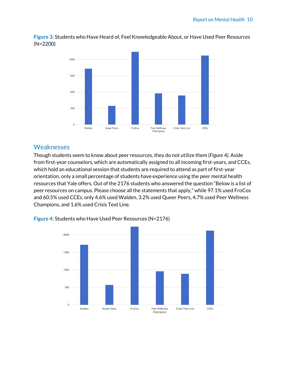

Figure 3: Students who Have Heard of, Feel Knowledgeable About, or Have Used Peer Resources  $(N=2200)$ 

### Weaknesses

Though students seem to know about peer resources, they do not utilize them (Figure 4). Aside from first-year counselors, which are automatically assigned to all incoming first-years, and CCEs, which hold an educational session that students are required to attend as part of first-year orientation, only a small percentage of students have experience using the peer mental health resources that Yale offers. Out of the 2176 students who answered the question "Below is a list of peer resources on campus. Please choose all the statements that apply," while 97.1% used FroCos and 60.5% used CCEs, only 4.6% used Walden, 3.2% used Queer Peers, 4.7% used Peer Wellness Champions, and 1.6% used Crisis Text Line.



Figure 4: Students who Have Used Peer Resources (N=2176)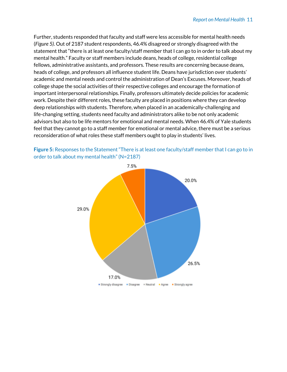Further, students responded that faculty and staff were less accessible for mental health needs (Figure 5). Out of 2187 student respondents, 46.4% disagreed or strongly disagreed with the statement that "there is at least one faculty/staff member that I can go to in order to talk about my mental health." Faculty or staff members include deans, heads of college, residential college fellows, administrative assistants, and professors. These results are concerning because deans, heads of college, and professors all influence student life. Deans have jurisdiction over students' academic and mental needs and control the administration of Dean's Excuses. Moreover, heads of college shape the social activities of their respective colleges and encourage the formation of important interpersonal relationships. Finally, professors ultimately decide policies for academic work. Despite their different roles, these faculty are placed in positions where they can develop deep relationships with students. Therefore, when placed in an academically-challenging and life-changing setting, students need faculty and administrators alike to be not only academic advisors but also to be life mentors for emotional and mental needs. When 46.4% of Yale students feel that they cannot go to a staff member for emotional or mental advice, there must be a serious reconsideration of what roles these staff members ought to play in students' lives.



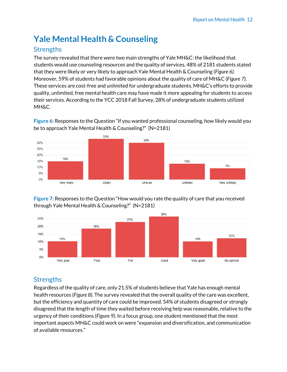# **Yale Mental Health & Counseling**

## **Strengths**

The survey revealed that there were two main strengths of Yale MH&C: the likelihood that students would use counseling resources and the quality of services. 48% of 2181 students stated that they were likely or very likely to approach Yale Mental Health & Counseling (Figure 6). Moreover, 59% of students had favorable opinions about the quality of care of MH&C (Figure 7). These services are cost-free and unlimited for undergraduate students. MH&C's efforts to provide quality, unlimited, free mental health care may have made it more appealing for students to access their services. According to the YCC 2018 Fall Survey, 28% of undergraduate students utilized MH&C.

Figure 6: Responses to the Question "If you wanted professional counseling, how likely would you be to approach Yale Mental Health & Counseling?" (N=2181)



Figure 7: Responses to the Question "How would you rate the quality of care that you received through Yale Mental Health & Counseling?" (N=2181)



## **Strengths**

Regardless of the quality of care, only 21.5% of students believe that Yale has enough mental health resources (Figure 8). The survey revealed that the overall quality of the care was excellent, but the efficiency and quantity of care could be improved. 54% of students disagreed or strongly disagreed that the length of time they waited before receiving help was reasonable, relative to the urgency of their conditions (Figure 9). In a focus group, one student mentioned that the most important aspects MH&C could work on were "expansion and diversification, and communication of available resources."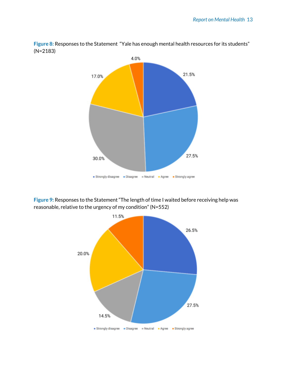

Figure 8: Responses to the Statement "Yale has enough mental health resources for its students"  $(N=2183)$ 

Figure 9: Responses to the Statement "The length of time I waited before receiving help was reasonable, relative to the urgency of my condition" (N=552)

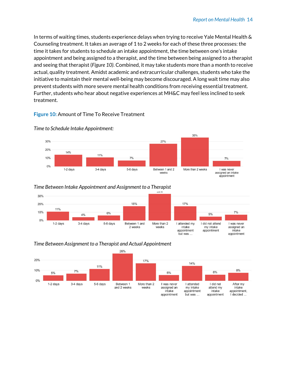In terms of waiting times, students experience delays when trying to receive Yale Mental Health & Counseling treatment. It takes an average of 1 to 2 weeks for each of these three processes: the time it takes for students to schedule an intake appointment, the time between one's intake appointment and being assigned to a therapist, and the time between being assigned to a therapist and seeing that therapist (Figure 10). Combined, it may take students more than a month to receive actual, quality treatment. Amidst academic and extracurricular challenges, students who take the initiative to maintain their mental well-being may become discouraged. A long wait time may also prevent students with more severe mental health conditions from receiving essential treatment. Further, students who hear about negative experiences at MH&C may feel less inclined to seek treatment.

#### Figure 10: Amount of Time To Receive Treatment



#### Time to Schedule Intake Appointment:

#### Time Between Intake Appointment and Assignment to a Therapist



#### 26% 20% 17%  $14%$ 11% 10% 8%  $7%$  $6%$ 5%  $5%$  $0%$ More than 2 I attended 1-2 days 3-4 days 5-6 days Between 1 I was never I did not After my assigned an attend my and 2 weeks my intake intake weeks appointment, intake appointment intake I decided appointment but was appointment

#### Time Between Assignment to a Therapist and Actual Appointment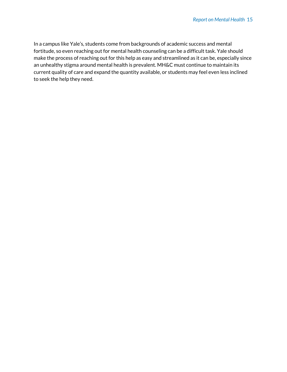In a campus like Yale's, students come from backgrounds of academic success and mental fortitude, so even reaching out for mental health counseling can be a difficult task. Yale should make the process of reaching out for this help as easy and streamlined as it can be, especially since an unhealthy stigma around mental health is prevalent. MH&C must continue to maintain its current quality of care and expand the quantity available, or students may feel even less inclined to seek the help they need.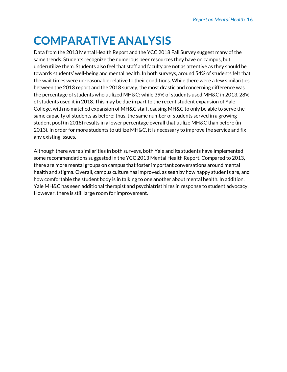# **COMPARATIVE ANALYSIS**

Data from the 2013 Mental Health Report and the YCC 2018 Fall Survey suggest many of the same trends. Students recognize the numerous peer resources they have on campus, but underutilize them. Students also feel that staff and faculty are not as attentive as they should be towards students' well-being and mental health. In both surveys, around 54% of students felt that the wait times were unreasonable relative to their conditions. While there were a few similarities between the 2013 report and the 2018 survey, the most drastic and concerning difference was the percentage of students who utilized MH&C: while 39% of students used MH&C in 2013, 28% of students used it in 2018. This may be due in part to the recent student expansion of Yale College, with no matched expansion of MH&C staff, causing MH&C to only be able to serve the same capacity of students as before; thus, the same number of students served in a growing student pool (in 2018) results in a lower percentage overall that utilize MH&C than before (in 2013). In order for more students to utilize MH&C, it is necessary to improve the service and fix any existing issues.

Although there were similarities in both surveys, both Yale and its students have implemented some recommendations suggested in the YCC 2013 Mental Health Report. Compared to 2013, there are more mental groups on campus that foster important conversations around mental health and stigma. Overall, campus culture has improved, as seen by how happy students are, and how comfortable the student body is in talking to one another about mental health. In addition, Yale MH&C has seen additional therapist and psychiatrist hires in response to student advocacy. However, there is still large room for improvement.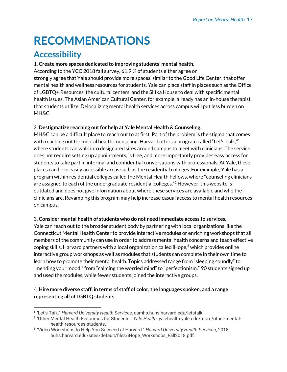# **RECOMMENDATIONS**

# **Accessibility**

#### 1. Create more spaces dedicated to improving students' mental health.

According to the YCC 2018 fall survey, 61.9 % of students either agree or strongly agree that Yale should provide more spaces, similar to the Good Life Center, that offer mental health and wellness resources for students. Yale can place staff in places such as the Office of LGBTQ+ Resources, the cultural centers, and the Slifka House to deal with specific mental health issues. The Asian American Cultural Center, for example, already has an in-house therapist that students utilize. Delocalizing mental health services across campus will put less burden on MH&C.

#### 2. Destigmatize reaching out for help at Yale Mental Health & Counseling.

MH&C can be a difficult place to reach out to at first. Part of the problem is the stigma that comes with reaching out for mental health counseling. Harvard offers a program called "Let's Talk,"<sup>1</sup> where students can walk into designated sites around campus to meet with clinicians. The service does not require setting up appointments, is free, and more importantly provides easy access for students to take part in informal and confidential conversations with professionals. At Yale, these places can be in easily accessible areas such as the residential colleges. For example, Yale has a program within residential colleges called the Mental Health Fellows, where "counseling clinicians" are assigned to each of the undergraduate residential colleges."<sup>2</sup> However, this website is outdated and does not give information about where these services are available and who the clinicians are. Revamping this program may help increase casual access to mental health resources on campus.

#### 3. Consider mental health of students who do not need immediate access to services.

Yale can reach out to the broader student body by partnering with local organizations like the Connecticut Mental Health Center to provide interactive modules or enriching workshops that all members of the community can use in order to address mental health concerns and teach effective coping skills. Harvard partners with a local organization called iHope,<sup>3</sup> which provides online interactive group workshops as well as modules that students can complete in their own time to learn how to promote their mental health. Topics addressed range from "sleeping soundly" to "mending your mood," from "calming the worried mind" to "perfectionism." 90 students signed up and used the modules, while fewer students joined the interactive groups.

#### 4. Hire more diverse staff, in terms of staff of color, the languages spoken, and a range representing all of LGBTQ students.

<sup>&</sup>lt;sup>1</sup> "Let's Talk." Harvard University Health Services, camhs.huhs.harvard.edu/letstalk.

<sup>&</sup>lt;sup>2</sup> "Other Mental Health Resources for Students." Yale Health, yalehealth.yale.edu/more/other-mentalhealth-resources-students.

<sup>&</sup>lt;sup>3</sup> "Video Workshops to Help You Succeed at Harvard." Harvard University Health Services, 2018, huhs.harvard.edu/sites/default/files/iHope\_Workshops\_Fall2018.pdf.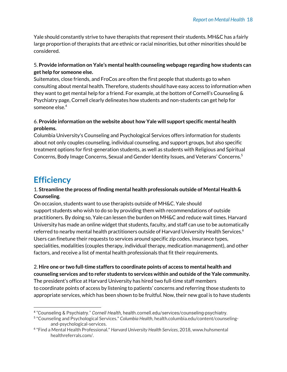Yale should constantly strive to have therapists that represent their students. MH&C has a fairly large proportion of therapists that are ethnic or racial minorities, but other minorities should be considered.

#### 5. Provide information on Yale's mental health counseling webpage regarding how students can get help for someone else.

Suitemates, close friends, and FroCos are often the first people that students go to when consulting about mental health. Therefore, students should have easy access to information when they want to get mental help for a friend. For example, at the bottom of Cornell's Counseling  $\&$ Psychiatry page, Cornell clearly delineates how students and non-students can get help for someone else.<sup>4</sup>

#### 6. Provide information on the website about how Yale will support specific mental health problems.

Columbia University's Counseling and Psychological Services offers information for students about not only couples counseling, individual counseling, and support groups, but also specific treatment options for first-generation students, as well as students with Religious and Spiritual Concerns, Body Image Concerns, Sexual and Gender Identity Issues, and Veterans' Concerns.<sup>5</sup>

# **Efficiency**

#### 1. Streamline the process of finding mental health professionals outside of Mental Health  $\&$ Counseling.

On occasion, students want to use therapists outside of MH&C. Yale should support students who wish to do so by providing them with recommendations of outside practitioners. By doing so, Yale can lessen the burden on MH&C and reduce wait times. Harvard University has made an online widget that students, faculty, and staff can use to be automatically referred to nearby mental health practitioners outside of Harvard University Health Services.<sup>6</sup> Users can finetune their requests to services around specific zip codes, insurance types, specialities, modalities (couples therapy, individual therapy, medication management), and other factors, and receive a list of mental health professionals that fit their requirements.

2. Hire one or two full-time staffers to coordinate points of access to mental health and counseling services and to refer students to services within and outside of the Yale community. The president's office at Harvard University has hired two full-time staff members to coordinate points of access by listening to patients' concerns and referring those students to appropriate services, which has been shown to be fruitful. Now, their new goal is to have students

<sup>&</sup>lt;sup>4</sup> "Counseling & Psychiatry." Cornell Health, health.cornell.edu/services/counseling-psychiatry.

<sup>&</sup>lt;sup>5</sup> "Counseling and Psychological Services." Columbia Health, health.columbia.edu/content/counselingand-psychological-services.

<sup>&</sup>lt;sup>6</sup> "Find a Mental Health Professional." Harvard University Health Services, 2018, www.huhsmental healthreferrals.com/.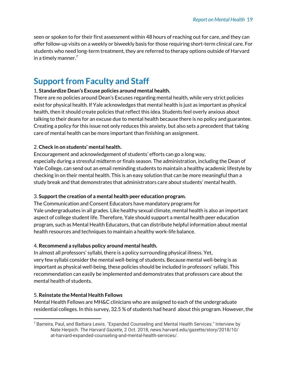seen or spoken to for their first assessment within 48 hours of reaching out for care, and they can offer follow-up visits on a weekly or biweekly basis for those requiring short-term clinical care. For students who need long-term treatment, they are referred to therapy options outside of Harvard in a timely manner.<sup>7</sup>

## **Support from Faculty and Staff**

#### 1. Standardize Dean's Excuse policies around mental health.

There are no policies around Dean's Excuses regarding mental health, while very strict policies exist for physical health. If Yale acknowledges that mental health is just as important as physical health, then it should create policies that reflect this idea. Students feel overly anxious about talking to their deans for an excuse due to mental health because there is no policy and guarantee. Creating a policy for this issue not only reduces this anxiety, but also sets a precedent that taking care of mental health can be more important than finishing an assignment.

#### 2. Check in on students' mental health.

Encouragement and acknowledgement of students' efforts can go a long way, especially during a stressful midterm or finals season. The administration, including the Dean of Yale College, can send out an email reminding students to maintain a healthy academic lifestyle by checking in on their mental health. This is an easy solution that can be more meaningful than a study break and that demonstrates that administrators care about students' mental health.

#### 3. Support the creation of a mental health peer education program.

The Communication and Consent Educators have mandatory programs for Yale undergraduates in all grades. Like healthy sexual climate, mental health is also an important aspect of college student life. Therefore, Yale should support a mental health peer education program, such as Mental Health Educators, that can distribute helpful information about mental health resources and techniques to maintain a healthy work-life balance.

#### 4. Recommend a syllabus policy around mental health.

In almost all professors' syllabi, there is a policy surrounding physical illness. Yet, very few syllabi consider the mental well-being of students. Because mental well-being is as important as physical well-being, these policies should be included in professors' syllabi. This recommendation can easily be implemented and demonstrates that professors care about the mental health of students.

#### 5. Reinstate the Mental Health Fellows

Mental Health Fellows are MH&C clinicians who are assigned to each of the undergraduate residential colleges. In this survey, 32.5 % of students had heard about this program. However, the

<sup>&</sup>lt;sup>7</sup> Barreira, Paul, and Barbara Lewis. "Expanded Counseling and Mental Health Services." Interview by Nate Herpich. The Harvard Gazette, 2 Oct. 2018, news.harvard.edu/gazette/story/2018/10/ at-harvard-expanded-counseling-and-mental-health-services/.